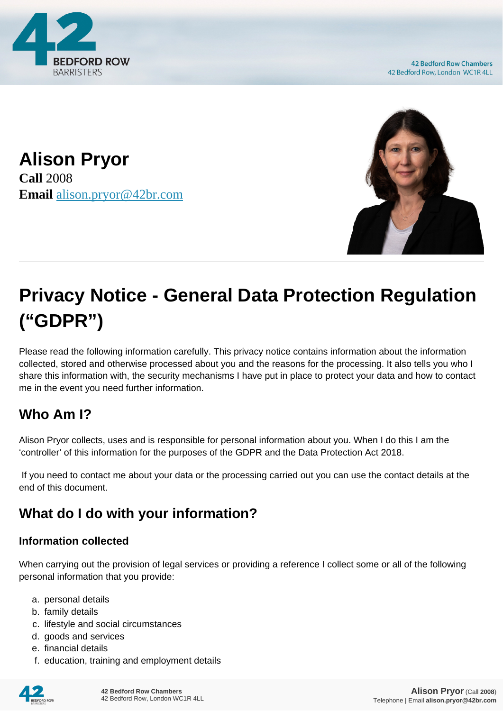

**42 Bedford Row Chambers** 42 Bedford Row, London WC1R 4LL





# **Privacy Notice - General Data Protection Regulation ("GDPR")**

Please read the following information carefully. This privacy notice contains information about the information collected, stored and otherwise processed about you and the reasons for the processing. It also tells you who I share this information with, the security mechanisms I have put in place to protect your data and how to contact me in the event you need further information.

# **Who Am I?**

Alison Pryor collects, uses and is responsible for personal information about you. When I do this I am the 'controller' of this information for the purposes of the GDPR and the Data Protection Act 2018.

 If you need to contact me about your data or the processing carried out you can use the contact details at the end of this document.

# **What do I do with your information?**

#### **Information collected**

When carrying out the provision of legal services or providing a reference I collect some or all of the following personal information that you provide:

- a. personal details
- b. family details
- c. lifestyle and social circumstances
- d. goods and services
- e. financial details
- f. education, training and employment details

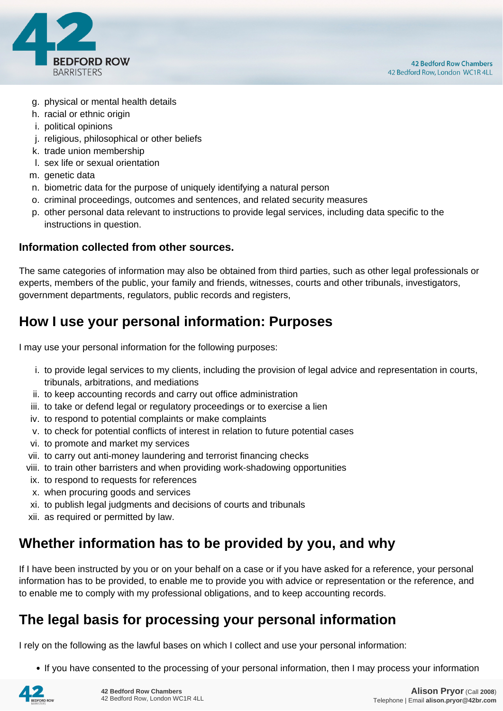

- g. physical or mental health details
- h. racial or ethnic origin
- i. political opinions
- j. religious, philosophical or other beliefs
- k. trade union membership
- l. sex life or sexual orientation
- m. genetic data
- n. biometric data for the purpose of uniquely identifying a natural person
- o. criminal proceedings, outcomes and sentences, and related security measures
- p. other personal data relevant to instructions to provide legal services, including data specific to the instructions in question.

#### **Information collected from other sources.**

The same categories of information may also be obtained from third parties, such as other legal professionals or experts, members of the public, your family and friends, witnesses, courts and other tribunals, investigators, government departments, regulators, public records and registers,

## **How I use your personal information: Purposes**

I may use your personal information for the following purposes:

- i. to provide legal services to my clients, including the provision of legal advice and representation in courts, tribunals, arbitrations, and mediations
- ii. to keep accounting records and carry out office administration
- iii. to take or defend legal or regulatory proceedings or to exercise a lien
- iv. to respond to potential complaints or make complaints
- v. to check for potential conflicts of interest in relation to future potential cases
- vi. to promote and market my services
- vii. to carry out anti-money laundering and terrorist financing checks
- viii. to train other barristers and when providing work-shadowing opportunities
- ix. to respond to requests for references
- x. when procuring goods and services
- xi. to publish legal judgments and decisions of courts and tribunals
- xii. as required or permitted by law.

## **Whether information has to be provided by you, and why**

If I have been instructed by you or on your behalf on a case or if you have asked for a reference, your personal information has to be provided, to enable me to provide you with advice or representation or the reference, and to enable me to comply with my professional obligations, and to keep accounting records.

## **The legal basis for processing your personal information**

I rely on the following as the lawful bases on which I collect and use your personal information:

• If you have consented to the processing of your personal information, then I may process your information

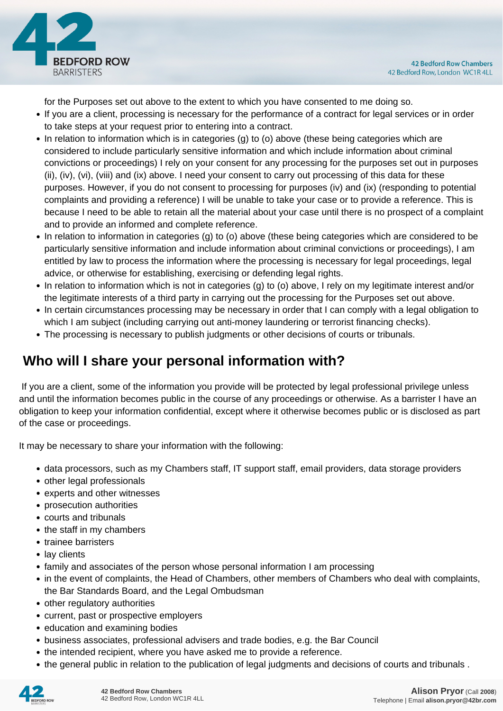

for the Purposes set out above to the extent to which you have consented to me doing so.

- If you are a client, processing is necessary for the performance of a contract for legal services or in order to take steps at your request prior to entering into a contract.
- In relation to information which is in categories (g) to (o) above (these being categories which are considered to include particularly sensitive information and which include information about criminal convictions or proceedings) I rely on your consent for any processing for the purposes set out in purposes (ii), (iv), (vi), (viii) and (ix) above. I need your consent to carry out processing of this data for these purposes. However, if you do not consent to processing for purposes (iv) and (ix) (responding to potential complaints and providing a reference) I will be unable to take your case or to provide a reference. This is because I need to be able to retain all the material about your case until there is no prospect of a complaint and to provide an informed and complete reference.
- In relation to information in categories (g) to (o) above (these being categories which are considered to be particularly sensitive information and include information about criminal convictions or proceedings), I am entitled by law to process the information where the processing is necessary for legal proceedings, legal advice, or otherwise for establishing, exercising or defending legal rights.
- In relation to information which is not in categories (g) to (o) above, I rely on my legitimate interest and/or the legitimate interests of a third party in carrying out the processing for the Purposes set out above.
- In certain circumstances processing may be necessary in order that I can comply with a legal obligation to which I am subject (including carrying out anti-money laundering or terrorist financing checks).
- The processing is necessary to publish judgments or other decisions of courts or tribunals.

# **Who will I share your personal information with?**

 If you are a client, some of the information you provide will be protected by legal professional privilege unless and until the information becomes public in the course of any proceedings or otherwise. As a barrister I have an obligation to keep your information confidential, except where it otherwise becomes public or is disclosed as part of the case or proceedings.

It may be necessary to share your information with the following:

- data processors, such as my Chambers staff, IT support staff, email providers, data storage providers
- other legal professionals
- experts and other witnesses
- prosecution authorities
- courts and tribunals
- the staff in my chambers
- trainee barristers
- lay clients
- family and associates of the person whose personal information I am processing
- in the event of complaints, the Head of Chambers, other members of Chambers who deal with complaints, the Bar Standards Board, and the Legal Ombudsman
- other regulatory authorities
- current, past or prospective employers
- education and examining bodies
- business associates, professional advisers and trade bodies, e.g. the Bar Council
- the intended recipient, where you have asked me to provide a reference.
- the general public in relation to the publication of legal judgments and decisions of courts and tribunals .

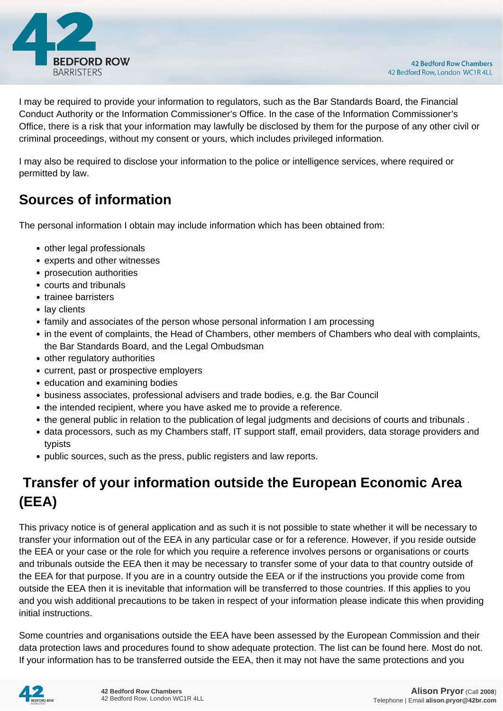

I may be required to provide your information to regulators, such as the Bar Standards Board, the Financial Conduct Authority or the Information Commissioner's Office. In the case of the Information Commissioner's Office, there is a risk that your information may lawfully be disclosed by them for the purpose of any other civil or criminal proceedings, without my consent or yours, which includes privileged information.

I may also be required to disclose your information to the police or intelligence services, where required or permitted by law.

# **Sources of information**

The personal information I obtain may include information which has been obtained from:

- other legal professionals
- experts and other witnesses
- prosecution authorities
- courts and tribunals
- trainee barristers
- lay clients
- family and associates of the person whose personal information I am processing
- in the event of complaints, the Head of Chambers, other members of Chambers who deal with complaints, the Bar Standards Board, and the Legal Ombudsman
- other regulatory authorities
- current, past or prospective employers
- education and examining bodies
- business associates, professional advisers and trade bodies, e.g. the Bar Council
- the intended recipient, where you have asked me to provide a reference.
- the general public in relation to the publication of legal judgments and decisions of courts and tribunals .
- data processors, such as my Chambers staff, IT support staff, email providers, data storage providers and typists
- public sources, such as the press, public registers and law reports.

# **Transfer of your information outside the European Economic Area (EEA)**

This privacy notice is of general application and as such it is not possible to state whether it will be necessary to transfer your information out of the EEA in any particular case or for a reference. However, if you reside outside the EEA or your case or the role for which you require a reference involves persons or organisations or courts and tribunals outside the EEA then it may be necessary to transfer some of your data to that country outside of the EEA for that purpose. If you are in a country outside the EEA or if the instructions you provide come from outside the EEA then it is inevitable that information will be transferred to those countries. If this applies to you and you wish additional precautions to be taken in respect of your information please indicate this when providing initial instructions.

Some countries and organisations outside the EEA have been assessed by the European Commission and their data protection laws and procedures found to show adequate protection. The list can be found here. Most do not. If your information has to be transferred outside the EEA, then it may not have the same protections and you

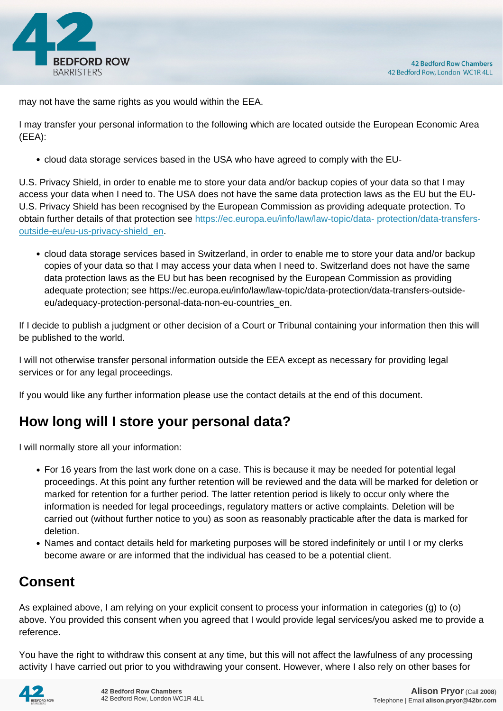

may not have the same rights as you would within the EEA.

I may transfer your personal information to the following which are located outside the European Economic Area (EEA):

cloud data storage services based in the USA who have agreed to comply with the EU-

U.S. Privacy Shield, in order to enable me to store your data and/or backup copies of your data so that I may access your data when I need to. The USA does not have the same data protection laws as the EU but the EU-U.S. Privacy Shield has been recognised by the European Commission as providing adequate protection. To obtain further details of that protection see [https://ec.europa.eu/info/law/law-topic/data- protection/data-transfers](https://ec.europa.eu/info/law/law-topic/data- protection/data-transfers-outside-eu/eu-us-privacy-shield_en)[outside-eu/eu-us-privacy-shield\\_en.](https://ec.europa.eu/info/law/law-topic/data- protection/data-transfers-outside-eu/eu-us-privacy-shield_en)

cloud data storage services based in Switzerland, in order to enable me to store your data and/or backup copies of your data so that I may access your data when I need to. Switzerland does not have the same data protection laws as the EU but has been recognised by the European Commission as providing adequate protection; see https://ec.europa.eu/info/law/law-topic/data-protection/data-transfers-outsideeu/adequacy-protection-personal-data-non-eu-countries\_en.

If I decide to publish a judgment or other decision of a Court or Tribunal containing your information then this will be published to the world.

I will not otherwise transfer personal information outside the EEA except as necessary for providing legal services or for any legal proceedings.

If you would like any further information please use the contact details at the end of this document.

## **How long will I store your personal data?**

I will normally store all your information:

- For 16 years from the last work done on a case. This is because it may be needed for potential legal proceedings. At this point any further retention will be reviewed and the data will be marked for deletion or marked for retention for a further period. The latter retention period is likely to occur only where the information is needed for legal proceedings, regulatory matters or active complaints. Deletion will be carried out (without further notice to you) as soon as reasonably practicable after the data is marked for deletion.
- Names and contact details held for marketing purposes will be stored indefinitely or until I or my clerks become aware or are informed that the individual has ceased to be a potential client.

# **Consent**

As explained above, I am relying on your explicit consent to process your information in categories (g) to (o) above. You provided this consent when you agreed that I would provide legal services/you asked me to provide a reference.

You have the right to withdraw this consent at any time, but this will not affect the lawfulness of any processing activity I have carried out prior to you withdrawing your consent. However, where I also rely on other bases for

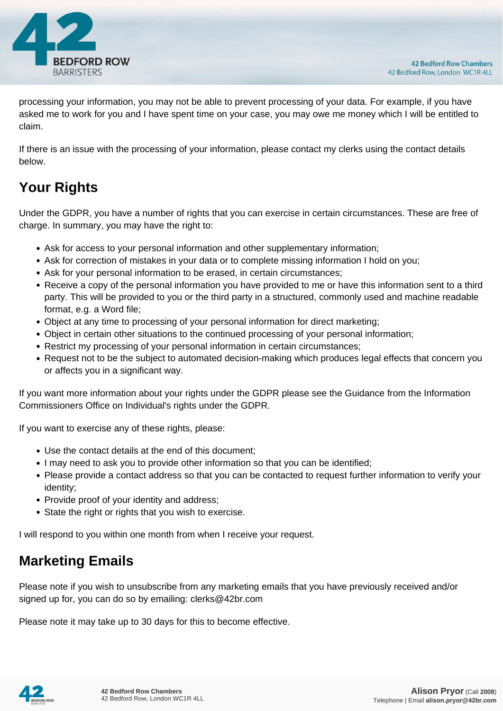

processing your information, you may not be able to prevent processing of your data. For example, if you have asked me to work for you and I have spent time on your case, you may owe me money which I will be entitled to claim.

If there is an issue with the processing of your information, please contact my clerks using the contact details below.

# **Your Rights**

Under the GDPR, you have a number of rights that you can exercise in certain circumstances. These are free of charge. In summary, you may have the right to:

- Ask for access to your personal information and other supplementary information;
- Ask for correction of mistakes in your data or to complete missing information I hold on you;
- Ask for your personal information to be erased, in certain circumstances;
- Receive a copy of the personal information you have provided to me or have this information sent to a third party. This will be provided to you or the third party in a structured, commonly used and machine readable format, e.g. a Word file;
- Object at any time to processing of your personal information for direct marketing;
- Object in certain other situations to the continued processing of your personal information;
- Restrict my processing of your personal information in certain circumstances;
- Request not to be the subject to automated decision-making which produces legal effects that concern you or affects you in a significant way.

If you want more information about your rights under the GDPR please see the Guidance from the Information Commissioners Office on Individual's rights under the GDPR.

If you want to exercise any of these rights, please:

- Use the contact details at the end of this document;
- I may need to ask you to provide other information so that you can be identified;
- Please provide a contact address so that you can be contacted to request further information to verify your identity;
- Provide proof of your identity and address;
- State the right or rights that you wish to exercise.

I will respond to you within one month from when I receive your request.

## **Marketing Emails**

Please note if you wish to unsubscribe from any marketing emails that you have previously received and/or signed up for, you can do so by emailing: clerks@42br.com

Please note it may take up to 30 days for this to become effective.